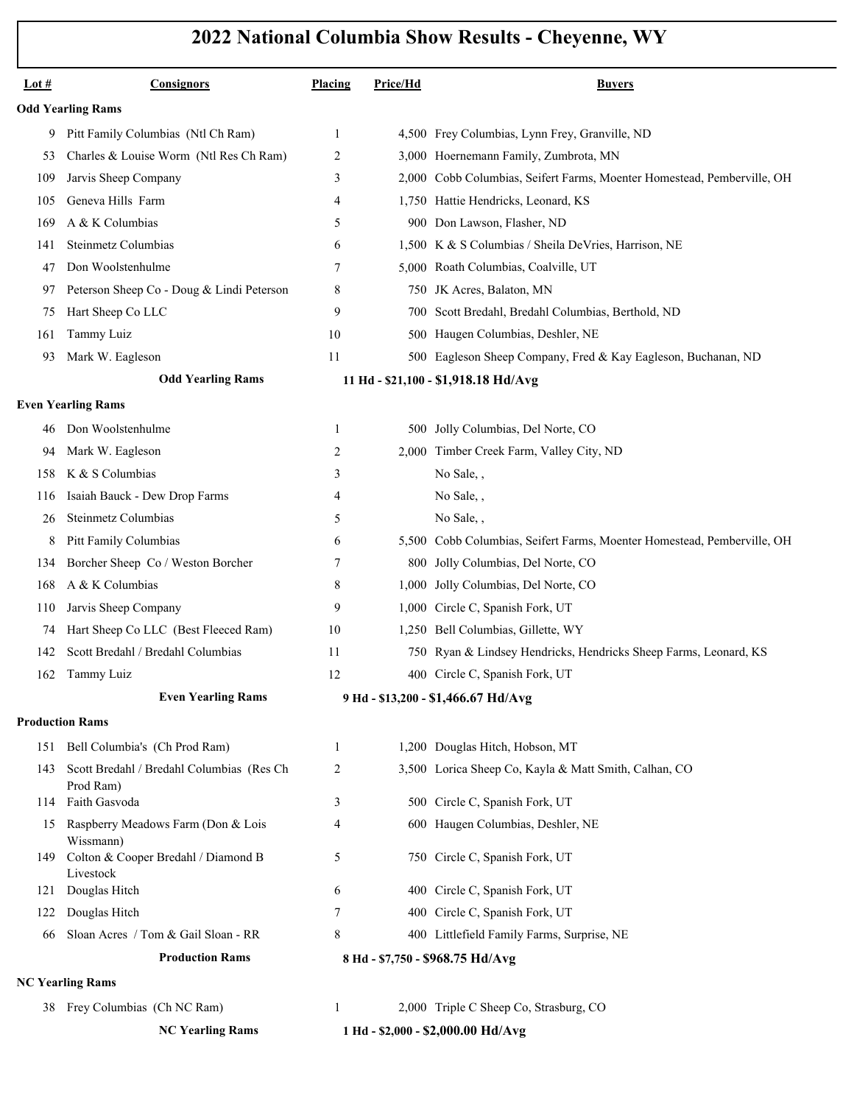| Lot $#$                  | <b>Consignors</b>                                             | Placing      | Price/Hd | <b>Buyers</b>                                                           |  |  |
|--------------------------|---------------------------------------------------------------|--------------|----------|-------------------------------------------------------------------------|--|--|
| <b>Odd Yearling Rams</b> |                                                               |              |          |                                                                         |  |  |
| 9                        | Pitt Family Columbias (Ntl Ch Ram)                            | 1            |          | 4,500 Frey Columbias, Lynn Frey, Granville, ND                          |  |  |
| 53                       | Charles & Louise Worm (Ntl Res Ch Ram)                        | 2            |          | 3,000 Hoernemann Family, Zumbrota, MN                                   |  |  |
| 109                      | Jarvis Sheep Company                                          | 3            |          | 2,000 Cobb Columbias, Seifert Farms, Moenter Homestead, Pemberville, OH |  |  |
| 105                      | Geneva Hills Farm                                             | 4            |          | 1,750 Hattie Hendricks, Leonard, KS                                     |  |  |
| 169                      | A & K Columbias                                               | 5            |          | 900 Don Lawson, Flasher, ND                                             |  |  |
| 141                      | Steinmetz Columbias                                           | 6            |          | 1,500 K & S Columbias / Sheila DeVries, Harrison, NE                    |  |  |
| 47                       | Don Woolstenhulme                                             | 7            |          | 5,000 Roath Columbias, Coalville, UT                                    |  |  |
| 97                       | Peterson Sheep Co - Doug & Lindi Peterson                     | 8            |          | 750 JK Acres, Balaton, MN                                               |  |  |
| 75                       | Hart Sheep Co LLC                                             | 9            |          | 700 Scott Bredahl, Bredahl Columbias, Berthold, ND                      |  |  |
| 161                      | Tammy Luiz                                                    | 10           |          | 500 Haugen Columbias, Deshler, NE                                       |  |  |
| 93                       | Mark W. Eagleson                                              | 11           |          | 500 Eagleson Sheep Company, Fred & Kay Eagleson, Buchanan, ND           |  |  |
|                          | <b>Odd Yearling Rams</b>                                      |              |          | 11 Hd - \$21,100 - \$1,918.18 Hd/Avg                                    |  |  |
|                          | <b>Even Yearling Rams</b>                                     |              |          |                                                                         |  |  |
| 46                       | Don Woolstenhulme                                             | 1            |          | 500 Jolly Columbias, Del Norte, CO                                      |  |  |
| 94                       | Mark W. Eagleson                                              | 2            |          | 2,000 Timber Creek Farm, Valley City, ND                                |  |  |
| 158                      | K & S Columbias                                               | 3            |          | No Sale,,                                                               |  |  |
| 116                      | Isaiah Bauck - Dew Drop Farms                                 | 4            |          | No Sale,,                                                               |  |  |
| 26                       | Steinmetz Columbias                                           | 5            |          | No Sale,,                                                               |  |  |
| 8                        | Pitt Family Columbias                                         | 6            |          | 5,500 Cobb Columbias, Seifert Farms, Moenter Homestead, Pemberville, OH |  |  |
| 134                      | Borcher Sheep Co / Weston Borcher                             | 7            |          | 800 Jolly Columbias, Del Norte, CO                                      |  |  |
| 168                      | A & K Columbias                                               | 8            |          | 1,000 Jolly Columbias, Del Norte, CO                                    |  |  |
| 110                      | Jarvis Sheep Company                                          | 9            |          | 1,000 Circle C, Spanish Fork, UT                                        |  |  |
| 74                       | Hart Sheep Co LLC (Best Fleeced Ram)                          | 10           |          | 1,250 Bell Columbias, Gillette, WY                                      |  |  |
| 142                      | Scott Bredahl / Bredahl Columbias                             | 11           |          | 750 Ryan & Lindsey Hendricks, Hendricks Sheep Farms, Leonard, KS        |  |  |
| 162                      | Tammy Luiz                                                    | 12           |          | 400 Circle C, Spanish Fork, UT                                          |  |  |
|                          | <b>Even Yearling Rams</b>                                     |              |          | 9 Hd - \$13,200 - \$1,466.67 Hd/Avg                                     |  |  |
|                          | <b>Production Rams</b>                                        |              |          |                                                                         |  |  |
| 151                      | Bell Columbia's (Ch Prod Ram)                                 | $\mathbf{1}$ |          | 1,200 Douglas Hitch, Hobson, MT                                         |  |  |
| 143                      | Scott Bredahl / Bredahl Columbias (Res Ch<br>Prod Ram)        | 2            |          | 3,500 Lorica Sheep Co, Kayla & Matt Smith, Calhan, CO                   |  |  |
| 114                      | Faith Gasvoda                                                 | 3            |          | 500 Circle C, Spanish Fork, UT                                          |  |  |
| 15                       | Raspberry Meadows Farm (Don & Lois<br>Wissmann)               | 4            |          | 600 Haugen Columbias, Deshler, NE                                       |  |  |
| 149                      | Colton & Cooper Bredahl / Diamond B<br>Livestock              | 5            |          | 750 Circle C, Spanish Fork, UT                                          |  |  |
| 121                      | Douglas Hitch                                                 | 6            |          | 400 Circle C, Spanish Fork, UT                                          |  |  |
| 122                      | Douglas Hitch                                                 | 7            |          | 400 Circle C, Spanish Fork, UT                                          |  |  |
| 66                       | Sloan Acres / Tom & Gail Sloan - RR                           | 8            |          | 400 Littlefield Family Farms, Surprise, NE                              |  |  |
|                          | <b>Production Rams</b><br>8 Hd - \$7,750 - \$968.75 Hd/Avg    |              |          |                                                                         |  |  |
| <b>NC Yearling Rams</b>  |                                                               |              |          |                                                                         |  |  |
|                          | 38 Frey Columbias (Ch NC Ram)                                 | $\mathbf{1}$ |          | 2,000 Triple C Sheep Co, Strasburg, CO                                  |  |  |
|                          | <b>NC Yearling Rams</b><br>1 Hd - \$2,000 - \$2,000.00 Hd/Avg |              |          |                                                                         |  |  |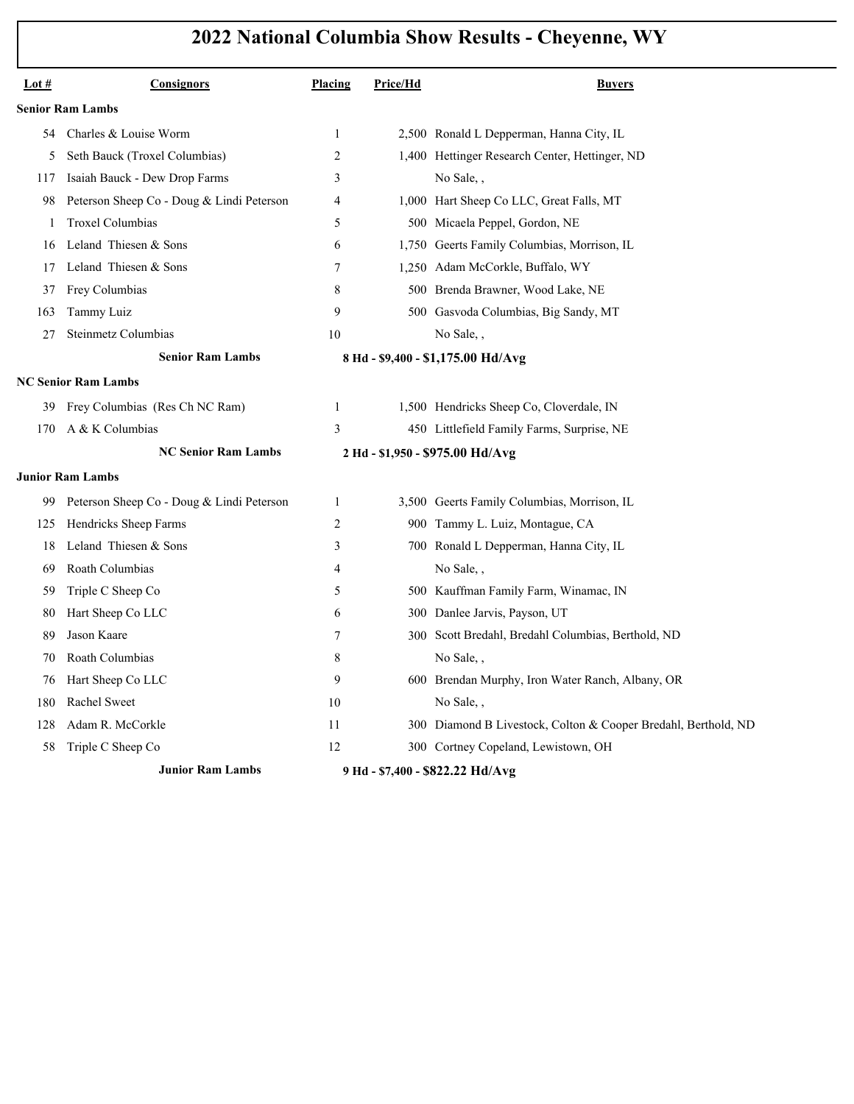| Lot $#$ | Consignors                                | Placing        | Price/Hd | <b>Buyers</b>                                                  |
|---------|-------------------------------------------|----------------|----------|----------------------------------------------------------------|
|         | <b>Senior Ram Lambs</b>                   |                |          |                                                                |
| 54      | Charles & Louise Worm                     | 1              |          | 2,500 Ronald L Depperman, Hanna City, IL                       |
| 5       | Seth Bauck (Troxel Columbias)             | $\overline{2}$ |          | 1,400 Hettinger Research Center, Hettinger, ND                 |
| 117     | Isaiah Bauck - Dew Drop Farms             | 3              |          | No Sale,,                                                      |
| 98      | Peterson Sheep Co - Doug & Lindi Peterson | $\overline{4}$ |          | 1,000 Hart Sheep Co LLC, Great Falls, MT                       |
| -1      | Troxel Columbias                          | 5              |          | 500 Micaela Peppel, Gordon, NE                                 |
| 16      | Leland Thiesen & Sons                     | 6              |          | 1,750 Geerts Family Columbias, Morrison, IL                    |
| 17      | Leland Thiesen & Sons                     | 7              |          | 1,250 Adam McCorkle, Buffalo, WY                               |
| 37      | Frey Columbias                            | 8              |          | 500 Brenda Brawner, Wood Lake, NE                              |
| 163     | Tammy Luiz                                | 9              |          | 500 Gasvoda Columbias, Big Sandy, MT                           |
| 27      | Steinmetz Columbias                       | 10             |          | No Sale,,                                                      |
|         | <b>Senior Ram Lambs</b>                   |                |          | 8 Hd - \$9,400 - \$1,175.00 Hd/Avg                             |
|         | <b>NC Senior Ram Lambs</b>                |                |          |                                                                |
| 39      | Frey Columbias (Res Ch NC Ram)            | 1              |          | 1,500 Hendricks Sheep Co, Cloverdale, IN                       |
| 170     | A & K Columbias                           | 3              |          | 450 Littlefield Family Farms, Surprise, NE                     |
|         | <b>NC Senior Ram Lambs</b>                |                |          | 2 Hd - \$1,950 - \$975.00 Hd/Avg                               |
|         | <b>Junior Ram Lambs</b>                   |                |          |                                                                |
| 99      | Peterson Sheep Co - Doug & Lindi Peterson | 1              |          | 3,500 Geerts Family Columbias, Morrison, IL                    |
| 125     | Hendricks Sheep Farms                     | 2              |          | 900 Tammy L. Luiz, Montague, CA                                |
| 18      | Leland Thiesen & Sons                     | 3              |          | 700 Ronald L Depperman, Hanna City, IL                         |
| 69      | Roath Columbias                           | $\overline{4}$ |          | No Sale,,                                                      |
| 59      | Triple C Sheep Co                         | 5              |          | 500 Kauffman Family Farm, Winamac, IN                          |
| 80      | Hart Sheep Co LLC                         | 6              |          | 300 Danlee Jarvis, Payson, UT                                  |
| 89      | Jason Kaare                               | 7              |          | 300 Scott Bredahl, Bredahl Columbias, Berthold, ND             |
| 70      | Roath Columbias                           | 8              |          | No Sale,                                                       |
| 76      | Hart Sheep Co LLC                         | 9              |          | 600 Brendan Murphy, Iron Water Ranch, Albany, OR               |
| 180     | Rachel Sweet                              | 10             |          | No Sale,,                                                      |
| 128     | Adam R. McCorkle                          | 11             |          | 300 Diamond B Livestock, Colton & Cooper Bredahl, Berthold, ND |
| 58      | Triple C Sheep Co                         | 12             |          | 300 Cortney Copeland, Lewistown, OH                            |
|         | <b>Junior Ram Lambs</b>                   |                |          | 9 Hd - \$7,400 - \$822.22 Hd/Avg                               |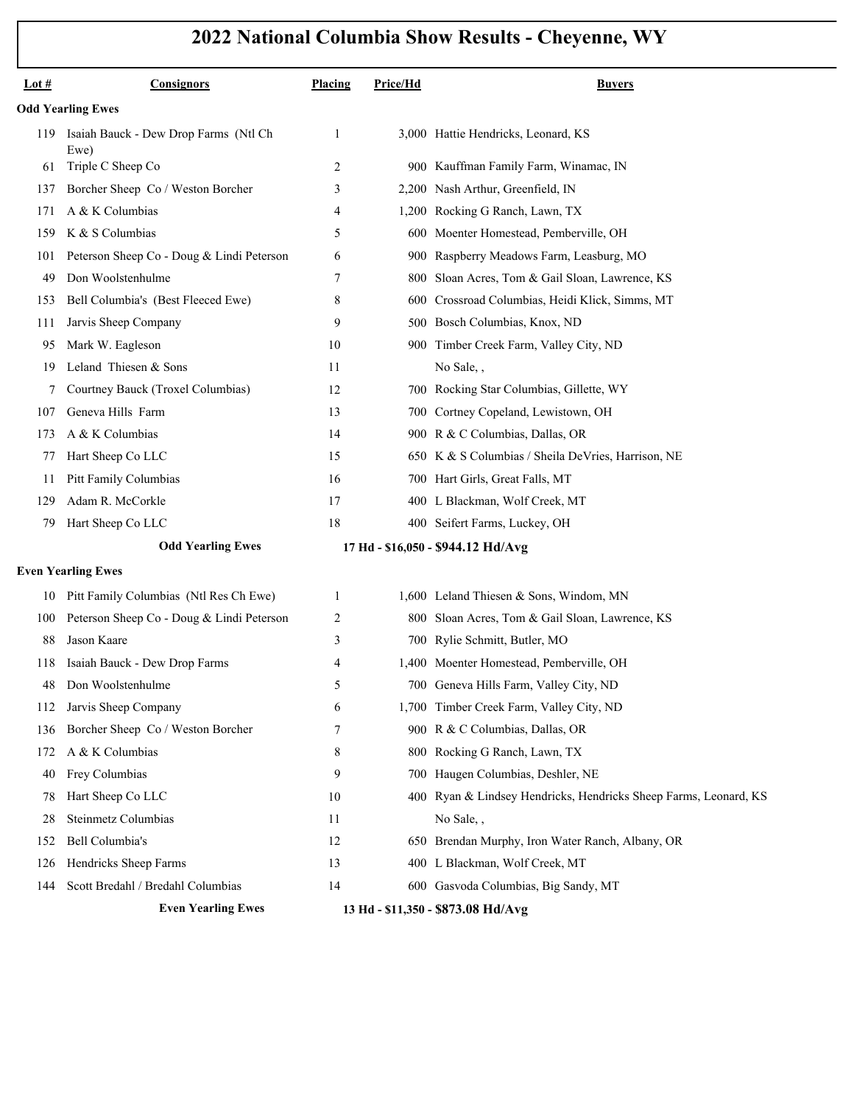| Lot $#$                  | <b>Consignors</b>                             | Placing | Price/Hd | <b>Buyers</b>                                                    |  |  |
|--------------------------|-----------------------------------------------|---------|----------|------------------------------------------------------------------|--|--|
| <b>Odd Yearling Ewes</b> |                                               |         |          |                                                                  |  |  |
| 119                      | Isaiah Bauck - Dew Drop Farms (Ntl Ch<br>Ewe) | 1       |          | 3,000 Hattie Hendricks, Leonard, KS                              |  |  |
| 61                       | Triple C Sheep Co                             | 2       |          | 900 Kauffman Family Farm, Winamac, IN                            |  |  |
| 137                      | Borcher Sheep Co / Weston Borcher             | 3       |          | 2,200 Nash Arthur, Greenfield, IN                                |  |  |
| 171                      | A & K Columbias                               | 4       |          | 1,200 Rocking G Ranch, Lawn, TX                                  |  |  |
| 159                      | K & S Columbias                               | 5       |          | 600 Moenter Homestead, Pemberville, OH                           |  |  |
| 101                      | Peterson Sheep Co - Doug & Lindi Peterson     | 6       |          | 900 Raspberry Meadows Farm, Leasburg, MO                         |  |  |
| 49                       | Don Woolstenhulme                             | 7       | 800      | Sloan Acres, Tom & Gail Sloan, Lawrence, KS                      |  |  |
| 153                      | Bell Columbia's (Best Fleeced Ewe)            | 8       | 600      | Crossroad Columbias, Heidi Klick, Simms, MT                      |  |  |
| 111                      | Jarvis Sheep Company                          | 9       |          | 500 Bosch Columbias, Knox, ND                                    |  |  |
| 95                       | Mark W. Eagleson                              | 10      |          | 900 Timber Creek Farm, Valley City, ND                           |  |  |
| 19                       | Leland Thiesen & Sons                         | 11      |          | No Sale,,                                                        |  |  |
| 7                        | Courtney Bauck (Troxel Columbias)             | 12      |          | 700 Rocking Star Columbias, Gillette, WY                         |  |  |
| 107                      | Geneva Hills Farm                             | 13      |          | 700 Cortney Copeland, Lewistown, OH                              |  |  |
| 173                      | A & K Columbias                               | 14      |          | 900 R & C Columbias, Dallas, OR                                  |  |  |
| 77                       | Hart Sheep Co LLC                             | 15      |          | 650 K & S Columbias / Sheila DeVries, Harrison, NE               |  |  |
| 11                       | Pitt Family Columbias                         | 16      |          | 700 Hart Girls, Great Falls, MT                                  |  |  |
| 129                      | Adam R. McCorkle                              | 17      |          | 400 L Blackman, Wolf Creek, MT                                   |  |  |
| 79                       | Hart Sheep Co LLC                             | 18      |          | 400 Seifert Farms, Luckey, OH                                    |  |  |
|                          | <b>Odd Yearling Ewes</b>                      |         |          | 17 Hd - \$16,050 - \$944.12 Hd/Avg                               |  |  |
|                          | <b>Even Yearling Ewes</b>                     |         |          |                                                                  |  |  |
| 10                       | Pitt Family Columbias (Ntl Res Ch Ewe)        | 1       |          | 1,600 Leland Thiesen & Sons, Windom, MN                          |  |  |
| 100                      | Peterson Sheep Co - Doug & Lindi Peterson     | 2       |          | 800 Sloan Acres, Tom & Gail Sloan, Lawrence, KS                  |  |  |
| 88                       | Jason Kaare                                   | 3       |          | 700 Rylie Schmitt, Butler, MO                                    |  |  |
| 118                      | Isaiah Bauck - Dew Drop Farms                 | 4       |          | 1,400 Moenter Homestead, Pemberville, OH                         |  |  |
| 48                       | Don Woolstenhulme                             | 5       |          | 700 Geneva Hills Farm, Valley City, ND                           |  |  |
| 112                      | Jarvis Sheep Company                          | 6       |          | 1,700 Timber Creek Farm, Valley City, ND                         |  |  |
| 136                      | Borcher Sheep Co / Weston Borcher             | 7       |          | 900 R & C Columbias, Dallas, OR                                  |  |  |
| 172                      | A & K Columbias                               | 8       |          | 800 Rocking G Ranch, Lawn, TX                                    |  |  |
| 40                       | Frey Columbias                                | 9       |          | 700 Haugen Columbias, Deshler, NE                                |  |  |
| 78                       | Hart Sheep Co LLC                             | 10      |          | 400 Ryan & Lindsey Hendricks, Hendricks Sheep Farms, Leonard, KS |  |  |
| 28                       | Steinmetz Columbias                           | 11      |          | No Sale,,                                                        |  |  |
| 152                      | Bell Columbia's                               | 12      |          | 650 Brendan Murphy, Iron Water Ranch, Albany, OR                 |  |  |
| 126                      | Hendricks Sheep Farms                         | 13      |          | 400 L Blackman, Wolf Creek, MT                                   |  |  |
| 144                      | Scott Bredahl / Bredahl Columbias             | 14      |          | 600 Gasvoda Columbias, Big Sandy, MT                             |  |  |
|                          | <b>Even Yearling Ewes</b>                     |         |          | 13 Hd - \$11,350 - \$873.08 Hd/Avg                               |  |  |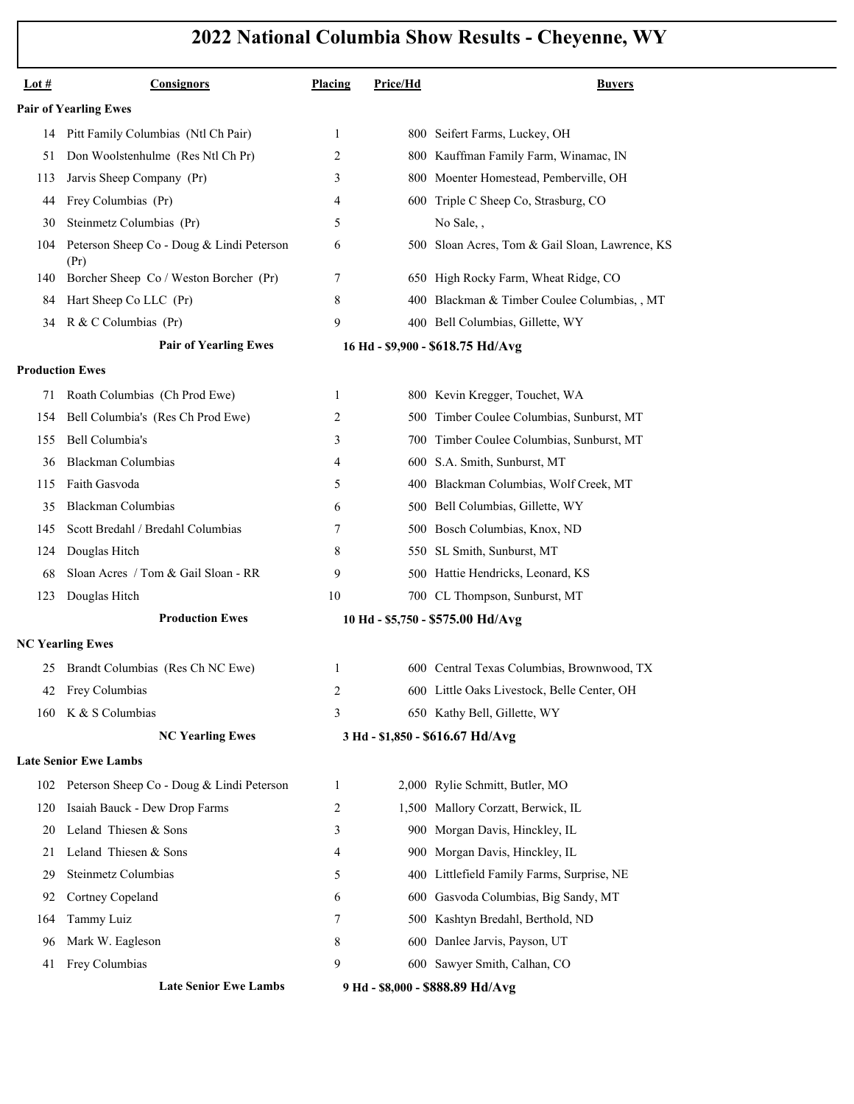| Lot #                  | <b>Consignors</b>                                 | Placing                          | Price/Hd | <b>Buyers</b>                                   |
|------------------------|---------------------------------------------------|----------------------------------|----------|-------------------------------------------------|
|                        | <b>Pair of Yearling Ewes</b>                      |                                  |          |                                                 |
| 14                     | Pitt Family Columbias (Ntl Ch Pair)               | 1                                |          | 800 Seifert Farms, Luckey, OH                   |
| 51                     | Don Woolstenhulme (Res Ntl Ch Pr)                 | 2                                |          | 800 Kauffman Family Farm, Winamac, IN           |
| 113                    | Jarvis Sheep Company (Pr)                         | 3                                | 800.     | Moenter Homestead, Pemberville, OH              |
| 44                     | Frey Columbias (Pr)                               | 4                                |          | 600 Triple C Sheep Co, Strasburg, CO            |
| 30                     | Steinmetz Columbias (Pr)                          | 5                                |          | No Sale,,                                       |
| 104                    | Peterson Sheep Co - Doug & Lindi Peterson<br>(Pr) | 6                                |          | 500 Sloan Acres, Tom & Gail Sloan, Lawrence, KS |
| 140                    | Borcher Sheep Co / Weston Borcher (Pr)            | 7                                |          | 650 High Rocky Farm, Wheat Ridge, CO            |
| 84                     | Hart Sheep Co LLC (Pr)                            | 8                                |          | 400 Blackman & Timber Coulee Columbias, , MT    |
| 34                     | R & C Columbias (Pr)                              | 9                                |          | 400 Bell Columbias, Gillette, WY                |
|                        | <b>Pair of Yearling Ewes</b>                      |                                  |          | 16 Hd - \$9,900 - \$618.75 Hd/Avg               |
| <b>Production Ewes</b> |                                                   |                                  |          |                                                 |
| 71                     | Roath Columbias (Ch Prod Ewe)                     | 1                                |          | 800 Kevin Kregger, Touchet, WA                  |
| 154                    | Bell Columbia's (Res Ch Prod Ewe)                 | 2                                |          | 500 Timber Coulee Columbias, Sunburst, MT       |
| 155                    | Bell Columbia's                                   | 3                                |          | 700 Timber Coulee Columbias, Sunburst, MT       |
| 36                     | Blackman Columbias                                | 4                                | 600-     | S.A. Smith, Sunburst, MT                        |
| 115                    | Faith Gasvoda                                     | 5                                |          | 400 Blackman Columbias, Wolf Creek, MT          |
| 35                     | Blackman Columbias                                | 6                                |          | 500 Bell Columbias, Gillette, WY                |
| 145                    | Scott Bredahl / Bredahl Columbias                 | 7                                | 500-     | Bosch Columbias, Knox, ND                       |
| 124                    | Douglas Hitch                                     | 8                                |          | 550 SL Smith, Sunburst, MT                      |
| 68                     | Sloan Acres / Tom & Gail Sloan - RR               | 9                                |          | 500 Hattie Hendricks, Leonard, KS               |
| 123                    | Douglas Hitch                                     | 10                               |          | 700 CL Thompson, Sunburst, MT                   |
|                        | <b>Production Ewes</b>                            |                                  |          | 10 Hd - \$5,750 - \$575.00 Hd/Avg               |
|                        | <b>NC Yearling Ewes</b>                           |                                  |          |                                                 |
| 25                     | Brandt Columbias (Res Ch NC Ewe)                  | 1                                |          | 600 Central Texas Columbias, Brownwood, TX      |
|                        | 42 Frey Columbias                                 | 2                                |          | 600 Little Oaks Livestock, Belle Center, OH     |
| 160                    | K & S Columbias                                   | 3                                |          | 650 Kathy Bell, Gillette, WY                    |
|                        | <b>NC Yearling Ewes</b>                           |                                  |          | 3 Hd - \$1,850 - \$616.67 Hd/Avg                |
|                        | <b>Late Senior Ewe Lambs</b>                      |                                  |          |                                                 |
| 102                    | Peterson Sheep Co - Doug & Lindi Peterson         | 1                                |          | 2,000 Rylie Schmitt, Butler, MO                 |
| 120                    | Isaiah Bauck - Dew Drop Farms                     | 2                                |          | 1,500 Mallory Corzatt, Berwick, IL              |
| 20                     | Leland Thiesen & Sons                             | 3                                |          | 900 Morgan Davis, Hinckley, IL                  |
| 21                     | Leland Thiesen & Sons                             | 4                                |          | 900 Morgan Davis, Hinckley, IL                  |
| 29                     | Steinmetz Columbias                               | 5                                | 400-     | Littlefield Family Farms, Surprise, NE          |
| 92                     | Cortney Copeland                                  | 6                                |          | 600 Gasvoda Columbias, Big Sandy, MT            |
| 164                    | Tammy Luiz                                        | 7                                |          | 500 Kashtyn Bredahl, Berthold, ND               |
| 96                     | Mark W. Eagleson                                  | 8                                |          | 600 Danlee Jarvis, Payson, UT                   |
| 41                     | Frey Columbias                                    | 9                                |          | 600 Sawyer Smith, Calhan, CO                    |
|                        | <b>Late Senior Ewe Lambs</b>                      | 9 Hd - \$8,000 - \$888.89 Hd/Avg |          |                                                 |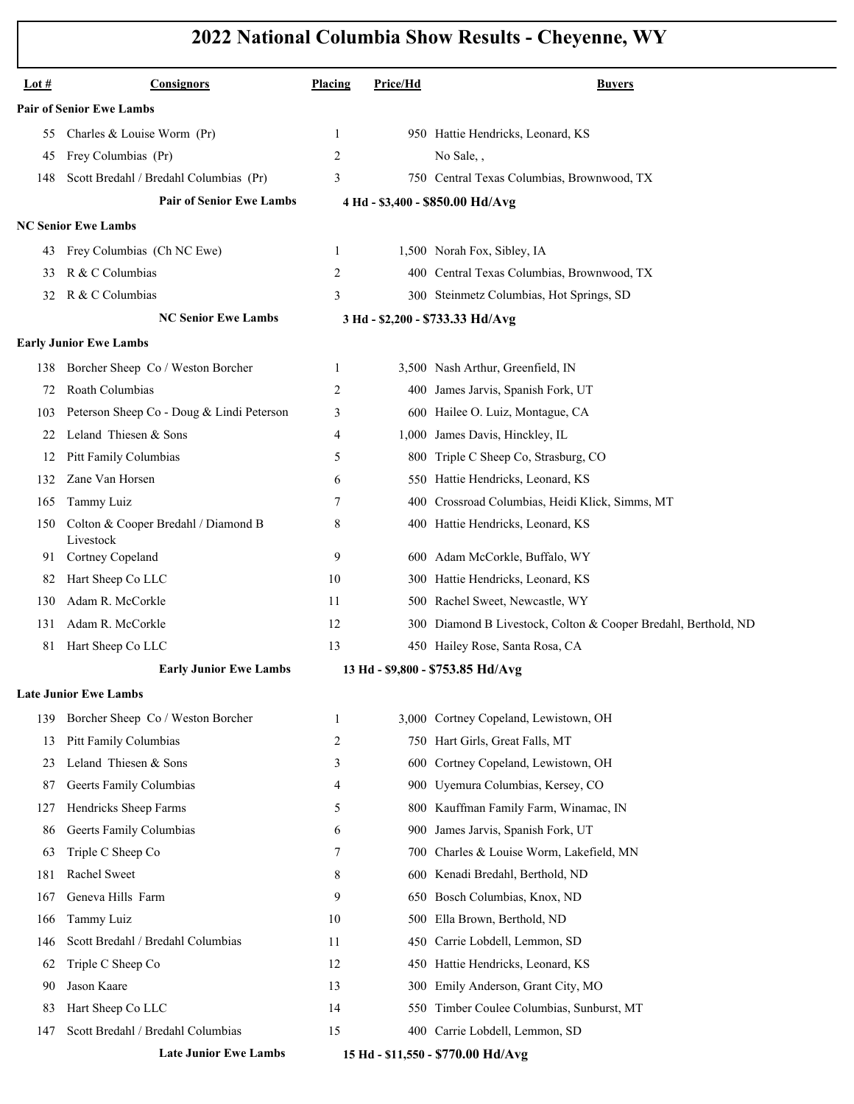| Lot $#$                         | Consignors                                       | Placing        | Price/Hd | <b>Buvers</b>                                                  |  |  |  |  |
|---------------------------------|--------------------------------------------------|----------------|----------|----------------------------------------------------------------|--|--|--|--|
| <b>Pair of Senior Ewe Lambs</b> |                                                  |                |          |                                                                |  |  |  |  |
| 55                              | Charles & Louise Worm (Pr)                       | 1              |          | 950 Hattie Hendricks, Leonard, KS                              |  |  |  |  |
| 45                              | Frey Columbias (Pr)                              | 2              |          | No Sale,,                                                      |  |  |  |  |
| 148                             | Scott Bredahl / Bredahl Columbias (Pr)           | 3              |          | 750 Central Texas Columbias, Brownwood, TX                     |  |  |  |  |
|                                 | <b>Pair of Senior Ewe Lambs</b>                  |                |          | 4 Hd - \$3,400 - \$850.00 Hd/Avg                               |  |  |  |  |
|                                 | <b>NC Senior Ewe Lambs</b>                       |                |          |                                                                |  |  |  |  |
| 43                              | Frey Columbias (Ch NC Ewe)                       | 1              |          | 1,500 Norah Fox, Sibley, IA                                    |  |  |  |  |
| 33                              | R & C Columbias                                  | 2              |          | 400 Central Texas Columbias, Brownwood, TX                     |  |  |  |  |
| 32                              | R & C Columbias                                  | 3              |          | 300 Steinmetz Columbias, Hot Springs, SD                       |  |  |  |  |
|                                 | <b>NC Senior Ewe Lambs</b>                       |                |          | 3 Hd - \$2,200 - \$733.33 Hd/Avg                               |  |  |  |  |
|                                 | <b>Early Junior Ewe Lambs</b>                    |                |          |                                                                |  |  |  |  |
| 138                             | Borcher Sheep Co / Weston Borcher                | 1              |          | 3,500 Nash Arthur, Greenfield, IN                              |  |  |  |  |
| 72                              | Roath Columbias                                  | 2              | 400      | James Jarvis, Spanish Fork, UT                                 |  |  |  |  |
| 103                             | Peterson Sheep Co - Doug & Lindi Peterson        | 3              |          | 600 Hailee O. Luiz, Montague, CA                               |  |  |  |  |
| 22                              | Leland Thiesen & Sons                            | 4              | 1,000    | James Davis, Hinckley, IL                                      |  |  |  |  |
| 12                              | Pitt Family Columbias                            | 5              |          | 800 Triple C Sheep Co, Strasburg, CO                           |  |  |  |  |
| 132                             | Zane Van Horsen                                  | 6              |          | 550 Hattie Hendricks, Leonard, KS                              |  |  |  |  |
| 165                             | Tammy Luiz                                       | 7              | 400      | Crossroad Columbias, Heidi Klick, Simms, MT                    |  |  |  |  |
| 150                             | Colton & Cooper Bredahl / Diamond B<br>Livestock | 8              |          | 400 Hattie Hendricks, Leonard, KS                              |  |  |  |  |
| 91                              | Cortney Copeland                                 | 9              |          | 600 Adam McCorkle, Buffalo, WY                                 |  |  |  |  |
| 82                              | Hart Sheep Co LLC                                | 10             |          | 300 Hattie Hendricks, Leonard, KS                              |  |  |  |  |
| 130                             | Adam R. McCorkle                                 | 11             |          | 500 Rachel Sweet, Newcastle, WY                                |  |  |  |  |
| 131                             | Adam R. McCorkle                                 | 12             |          | 300 Diamond B Livestock, Colton & Cooper Bredahl, Berthold, ND |  |  |  |  |
| 81                              | Hart Sheep Co LLC                                | 13             |          | 450 Hailey Rose, Santa Rosa, CA                                |  |  |  |  |
|                                 | <b>Early Junior Ewe Lambs</b>                    |                |          | 13 Hd - \$9,800 - \$753.85 Hd/Avg                              |  |  |  |  |
|                                 | <b>Late Junior Ewe Lambs</b>                     |                |          |                                                                |  |  |  |  |
| 139                             | Borcher Sheep Co / Weston Borcher                | 1              |          | 3,000 Cortney Copeland, Lewistown, OH                          |  |  |  |  |
| 13                              | Pitt Family Columbias                            | $\overline{c}$ |          | 750 Hart Girls, Great Falls, MT                                |  |  |  |  |
| 23                              | Leland Thiesen & Sons                            | 3              | 600      | Cortney Copeland, Lewistown, OH                                |  |  |  |  |
| 87                              | Geerts Family Columbias                          | 4              | 900      | Uyemura Columbias, Kersey, CO                                  |  |  |  |  |
| 127                             | Hendricks Sheep Farms                            | 5              | 800      | Kauffman Family Farm, Winamac, IN                              |  |  |  |  |
| 86                              | Geerts Family Columbias                          | 6              | 900      | James Jarvis, Spanish Fork, UT                                 |  |  |  |  |
| 63                              | Triple C Sheep Co                                | 7              | 700      | Charles & Louise Worm, Lakefield, MN                           |  |  |  |  |
| 181                             | Rachel Sweet                                     | 8              | 600      | Kenadi Bredahl, Berthold, ND                                   |  |  |  |  |
| 167                             | Geneva Hills Farm                                | 9              | 650      | Bosch Columbias, Knox, ND                                      |  |  |  |  |
| 166                             | Tammy Luiz                                       | 10             | 500      | Ella Brown, Berthold, ND                                       |  |  |  |  |
| 146                             | Scott Bredahl / Bredahl Columbias                | 11             | 450      | Carrie Lobdell, Lemmon, SD                                     |  |  |  |  |
| 62                              | Triple C Sheep Co                                | 12             | 450      | Hattie Hendricks, Leonard, KS                                  |  |  |  |  |
| 90                              | Jason Kaare                                      | 13             | 300      | Emily Anderson, Grant City, MO                                 |  |  |  |  |
| 83                              | Hart Sheep Co LLC                                | 14             | 550      | Timber Coulee Columbias, Sunburst, MT                          |  |  |  |  |
| 147                             | Scott Bredahl / Bredahl Columbias                | 15             |          | 400 Carrie Lobdell, Lemmon, SD                                 |  |  |  |  |
|                                 | <b>Late Junior Ewe Lambs</b>                     |                |          | 15 Hd - \$11,550 - \$770.00 Hd/Avg                             |  |  |  |  |